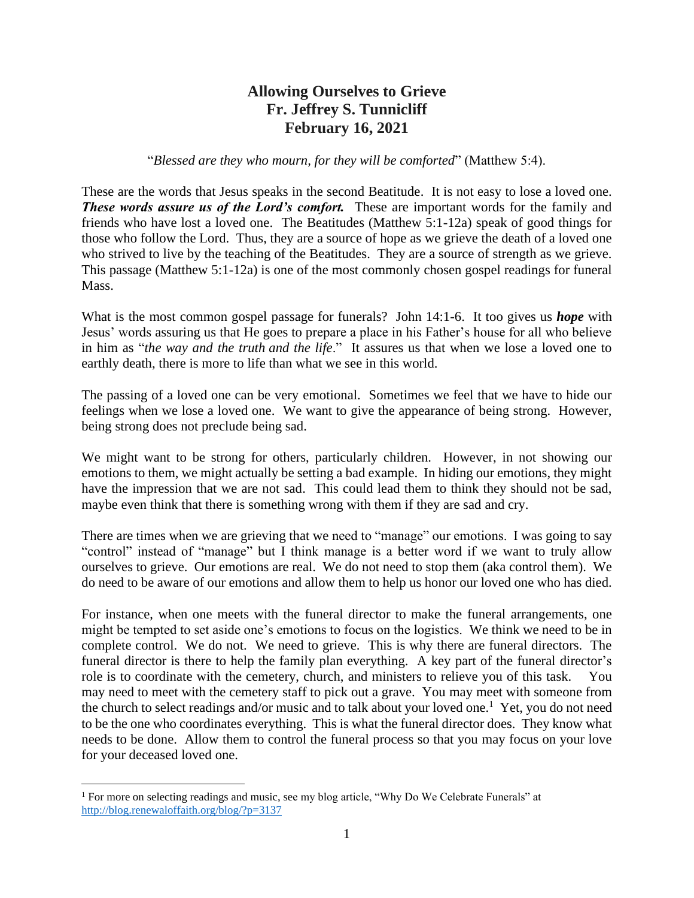# **Allowing Ourselves to Grieve Fr. Jeffrey S. Tunnicliff February 16, 2021**

## "*Blessed are they who mourn, for they will be comforted*" (Matthew 5:4).

These are the words that Jesus speaks in the second Beatitude. It is not easy to lose a loved one. **These words assure us of the Lord's comfort.** These are important words for the family and friends who have lost a loved one. The Beatitudes (Matthew 5:1-12a) speak of good things for those who follow the Lord. Thus, they are a source of hope as we grieve the death of a loved one who strived to live by the teaching of the Beatitudes. They are a source of strength as we grieve. This passage (Matthew 5:1-12a) is one of the most commonly chosen gospel readings for funeral Mass.

What is the most common gospel passage for funerals? John 14:1-6. It too gives us *hope* with Jesus' words assuring us that He goes to prepare a place in his Father's house for all who believe in him as "*the way and the truth and the life*." It assures us that when we lose a loved one to earthly death, there is more to life than what we see in this world.

The passing of a loved one can be very emotional. Sometimes we feel that we have to hide our feelings when we lose a loved one. We want to give the appearance of being strong. However, being strong does not preclude being sad.

We might want to be strong for others, particularly children. However, in not showing our emotions to them, we might actually be setting a bad example. In hiding our emotions, they might have the impression that we are not sad. This could lead them to think they should not be sad, maybe even think that there is something wrong with them if they are sad and cry.

There are times when we are grieving that we need to "manage" our emotions. I was going to say "control" instead of "manage" but I think manage is a better word if we want to truly allow ourselves to grieve. Our emotions are real. We do not need to stop them (aka control them). We do need to be aware of our emotions and allow them to help us honor our loved one who has died.

For instance, when one meets with the funeral director to make the funeral arrangements, one might be tempted to set aside one's emotions to focus on the logistics. We think we need to be in complete control. We do not. We need to grieve. This is why there are funeral directors. The funeral director is there to help the family plan everything. A key part of the funeral director's role is to coordinate with the cemetery, church, and ministers to relieve you of this task. You may need to meet with the cemetery staff to pick out a grave. You may meet with someone from the church to select readings and/or music and to talk about your loved one.<sup>1</sup> Yet, you do not need to be the one who coordinates everything. This is what the funeral director does. They know what needs to be done. Allow them to control the funeral process so that you may focus on your love for your deceased loved one.

<sup>&</sup>lt;sup>1</sup> For more on selecting readings and music, see my blog article, "Why Do We Celebrate Funerals" at <http://blog.renewaloffaith.org/blog/?p=3137>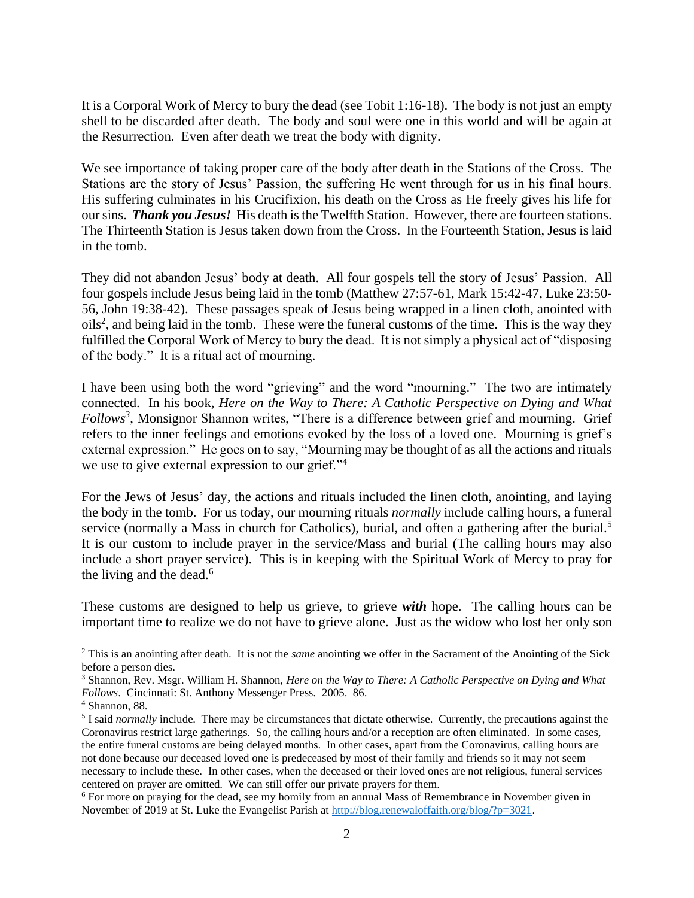It is a Corporal Work of Mercy to bury the dead (see Tobit 1:16-18). The body is not just an empty shell to be discarded after death. The body and soul were one in this world and will be again at the Resurrection. Even after death we treat the body with dignity.

We see importance of taking proper care of the body after death in the Stations of the Cross. The Stations are the story of Jesus' Passion, the suffering He went through for us in his final hours. His suffering culminates in his Crucifixion, his death on the Cross as He freely gives his life for our sins. *Thank you Jesus!*His death is the Twelfth Station. However, there are fourteen stations. The Thirteenth Station is Jesus taken down from the Cross. In the Fourteenth Station, Jesus is laid in the tomb.

They did not abandon Jesus' body at death. All four gospels tell the story of Jesus' Passion. All four gospels include Jesus being laid in the tomb (Matthew 27:57-61, Mark 15:42-47, Luke 23:50- 56, John 19:38-42). These passages speak of Jesus being wrapped in a linen cloth, anointed with  $oils<sup>2</sup>$ , and being laid in the tomb. These were the funeral customs of the time. This is the way they fulfilled the Corporal Work of Mercy to bury the dead. It is not simply a physical act of "disposing of the body." It is a ritual act of mourning.

I have been using both the word "grieving" and the word "mourning." The two are intimately connected. In his book, *Here on the Way to There: A Catholic Perspective on Dying and What Follows<sup>3</sup>* , Monsignor Shannon writes, "There is a difference between grief and mourning. Grief refers to the inner feelings and emotions evoked by the loss of a loved one. Mourning is grief's external expression." He goes on to say, "Mourning may be thought of as all the actions and rituals we use to give external expression to our grief."<sup>4</sup>

For the Jews of Jesus' day, the actions and rituals included the linen cloth, anointing, and laying the body in the tomb. For us today, our mourning rituals *normally* include calling hours, a funeral service (normally a Mass in church for Catholics), burial, and often a gathering after the burial.<sup>5</sup> It is our custom to include prayer in the service/Mass and burial (The calling hours may also include a short prayer service). This is in keeping with the Spiritual Work of Mercy to pray for the living and the dead.<sup>6</sup>

These customs are designed to help us grieve, to grieve *with* hope. The calling hours can be important time to realize we do not have to grieve alone. Just as the widow who lost her only son

<sup>2</sup> This is an anointing after death. It is not the *same* anointing we offer in the Sacrament of the Anointing of the Sick before a person dies.

<sup>3</sup> Shannon, Rev. Msgr. William H. Shannon, *Here on the Way to There: A Catholic Perspective on Dying and What Follows*. Cincinnati: St. Anthony Messenger Press. 2005. 86.

<sup>4</sup> Shannon, 88.

<sup>&</sup>lt;sup>5</sup> I said *normally* include. There may be circumstances that dictate otherwise. Currently, the precautions against the Coronavirus restrict large gatherings. So, the calling hours and/or a reception are often eliminated. In some cases, the entire funeral customs are being delayed months. In other cases, apart from the Coronavirus, calling hours are not done because our deceased loved one is predeceased by most of their family and friends so it may not seem necessary to include these. In other cases, when the deceased or their loved ones are not religious, funeral services centered on prayer are omitted. We can still offer our private prayers for them.

<sup>&</sup>lt;sup>6</sup> For more on praying for the dead, see my homily from an annual Mass of Remembrance in November given in November of 2019 at St. Luke the Evangelist Parish at [http://blog.renewaloffaith.org/blog/?p=3021.](http://blog.renewaloffaith.org/blog/?p=3021)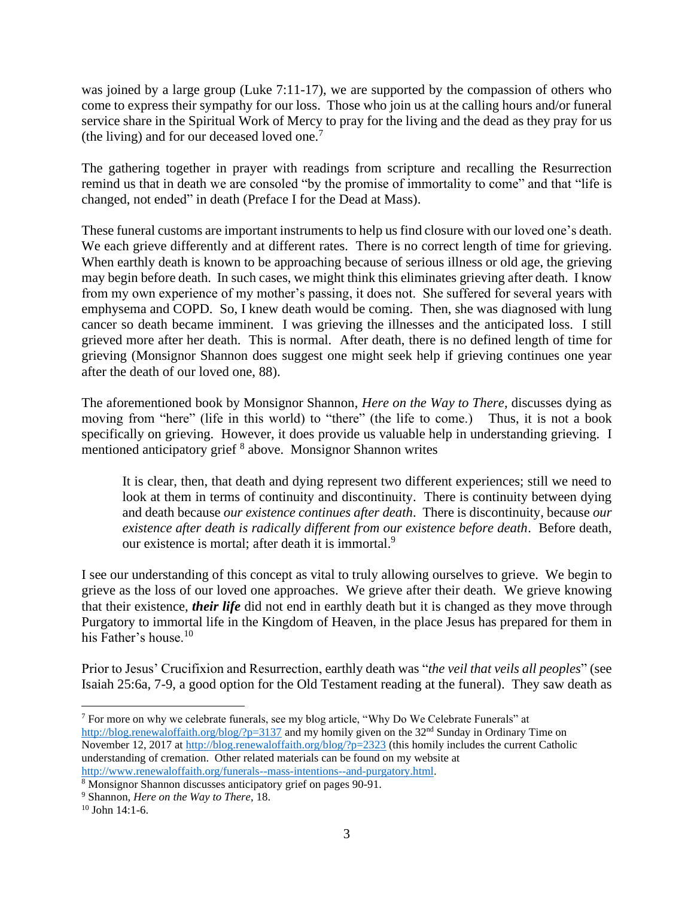was joined by a large group (Luke 7:11-17), we are supported by the compassion of others who come to express their sympathy for our loss. Those who join us at the calling hours and/or funeral service share in the Spiritual Work of Mercy to pray for the living and the dead as they pray for us (the living) and for our deceased loved one.<sup>7</sup>

The gathering together in prayer with readings from scripture and recalling the Resurrection remind us that in death we are consoled "by the promise of immortality to come" and that "life is changed, not ended" in death (Preface I for the Dead at Mass).

These funeral customs are important instruments to help us find closure with our loved one's death. We each grieve differently and at different rates. There is no correct length of time for grieving. When earthly death is known to be approaching because of serious illness or old age, the grieving may begin before death. In such cases, we might think this eliminates grieving after death. I know from my own experience of my mother's passing, it does not. She suffered for several years with emphysema and COPD. So, I knew death would be coming. Then, she was diagnosed with lung cancer so death became imminent. I was grieving the illnesses and the anticipated loss. I still grieved more after her death. This is normal. After death, there is no defined length of time for grieving (Monsignor Shannon does suggest one might seek help if grieving continues one year after the death of our loved one, 88).

The aforementioned book by Monsignor Shannon, *Here on the Way to There*, discusses dying as moving from "here" (life in this world) to "there" (the life to come.) Thus, it is not a book specifically on grieving. However, it does provide us valuable help in understanding grieving. I mentioned anticipatory grief <sup>8</sup> above. Monsignor Shannon writes

It is clear, then, that death and dying represent two different experiences; still we need to look at them in terms of continuity and discontinuity. There is continuity between dying and death because *our existence continues after death*. There is discontinuity, because *our existence after death is radically different from our existence before death*. Before death, our existence is mortal; after death it is immortal.<sup>9</sup>

I see our understanding of this concept as vital to truly allowing ourselves to grieve. We begin to grieve as the loss of our loved one approaches. We grieve after their death. We grieve knowing that their existence, *their life* did not end in earthly death but it is changed as they move through Purgatory to immortal life in the Kingdom of Heaven, in the place Jesus has prepared for them in his Father's house.<sup>10</sup>

Prior to Jesus' Crucifixion and Resurrection, earthly death was "*the veil that veils all peoples*" (see Isaiah 25:6a, 7-9, a good option for the Old Testament reading at the funeral). They saw death as

<sup>7</sup> For more on why we celebrate funerals, see my blog article, "Why Do We Celebrate Funerals" at <http://blog.renewaloffaith.org/blog/?p=3137> and my homily given on the 32<sup>nd</sup> Sunday in Ordinary Time on November 12, 2017 at<http://blog.renewaloffaith.org/blog/?p=2323> (this homily includes the current Catholic understanding of cremation. Other related materials can be found on my website at [http://www.renewaloffaith.org/funerals--mass-intentions--and-purgatory.html.](http://www.renewaloffaith.org/funerals--mass-intentions--and-purgatory.html)

<sup>&</sup>lt;sup>8</sup> Monsignor Shannon discusses anticipatory grief on pages 90-91.

<sup>9</sup> Shannon, *Here on the Way to There*, 18.

<sup>10</sup> John 14:1-6.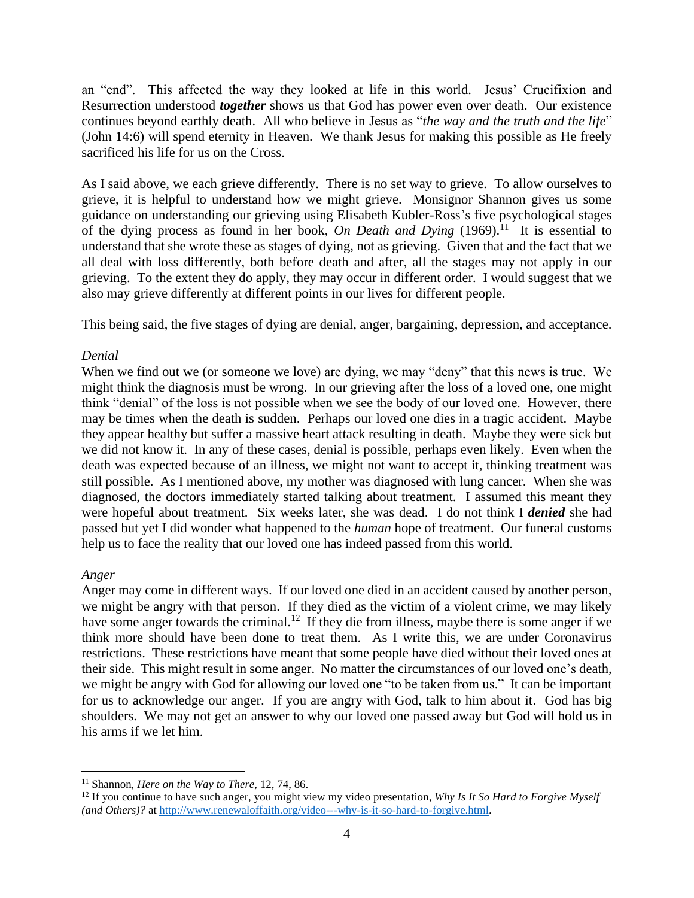an "end". This affected the way they looked at life in this world. Jesus' Crucifixion and Resurrection understood *together* shows us that God has power even over death. Our existence continues beyond earthly death. All who believe in Jesus as "*the way and the truth and the life*" (John 14:6) will spend eternity in Heaven. We thank Jesus for making this possible as He freely sacrificed his life for us on the Cross.

As I said above, we each grieve differently. There is no set way to grieve. To allow ourselves to grieve, it is helpful to understand how we might grieve. Monsignor Shannon gives us some guidance on understanding our grieving using Elisabeth Kubler-Ross's five psychological stages of the dying process as found in her book, *On Death and Dying* (1969).<sup>11</sup> It is essential to understand that she wrote these as stages of dying, not as grieving. Given that and the fact that we all deal with loss differently, both before death and after, all the stages may not apply in our grieving. To the extent they do apply, they may occur in different order. I would suggest that we also may grieve differently at different points in our lives for different people.

This being said, the five stages of dying are denial, anger, bargaining, depression, and acceptance.

## *Denial*

When we find out we (or someone we love) are dying, we may "deny" that this news is true. We might think the diagnosis must be wrong. In our grieving after the loss of a loved one, one might think "denial" of the loss is not possible when we see the body of our loved one. However, there may be times when the death is sudden. Perhaps our loved one dies in a tragic accident. Maybe they appear healthy but suffer a massive heart attack resulting in death. Maybe they were sick but we did not know it. In any of these cases, denial is possible, perhaps even likely. Even when the death was expected because of an illness, we might not want to accept it, thinking treatment was still possible. As I mentioned above, my mother was diagnosed with lung cancer. When she was diagnosed, the doctors immediately started talking about treatment. I assumed this meant they were hopeful about treatment. Six weeks later, she was dead. I do not think I *denied* she had passed but yet I did wonder what happened to the *human* hope of treatment. Our funeral customs help us to face the reality that our loved one has indeed passed from this world.

#### *Anger*

Anger may come in different ways. If our loved one died in an accident caused by another person, we might be angry with that person. If they died as the victim of a violent crime, we may likely have some anger towards the criminal.<sup>12</sup> If they die from illness, maybe there is some anger if we think more should have been done to treat them. As I write this, we are under Coronavirus restrictions. These restrictions have meant that some people have died without their loved ones at their side. This might result in some anger. No matter the circumstances of our loved one's death, we might be angry with God for allowing our loved one "to be taken from us." It can be important for us to acknowledge our anger. If you are angry with God, talk to him about it. God has big shoulders. We may not get an answer to why our loved one passed away but God will hold us in his arms if we let him.

<sup>11</sup> Shannon, *Here on the Way to There*, 12, 74, 86.

<sup>12</sup> If you continue to have such anger, you might view my video presentation, *Why Is It So Hard to Forgive Myself (and Others)?* a[t http://www.renewaloffaith.org/video---why-is-it-so-hard-to-forgive.html.](http://www.renewaloffaith.org/video---why-is-it-so-hard-to-forgive.html)